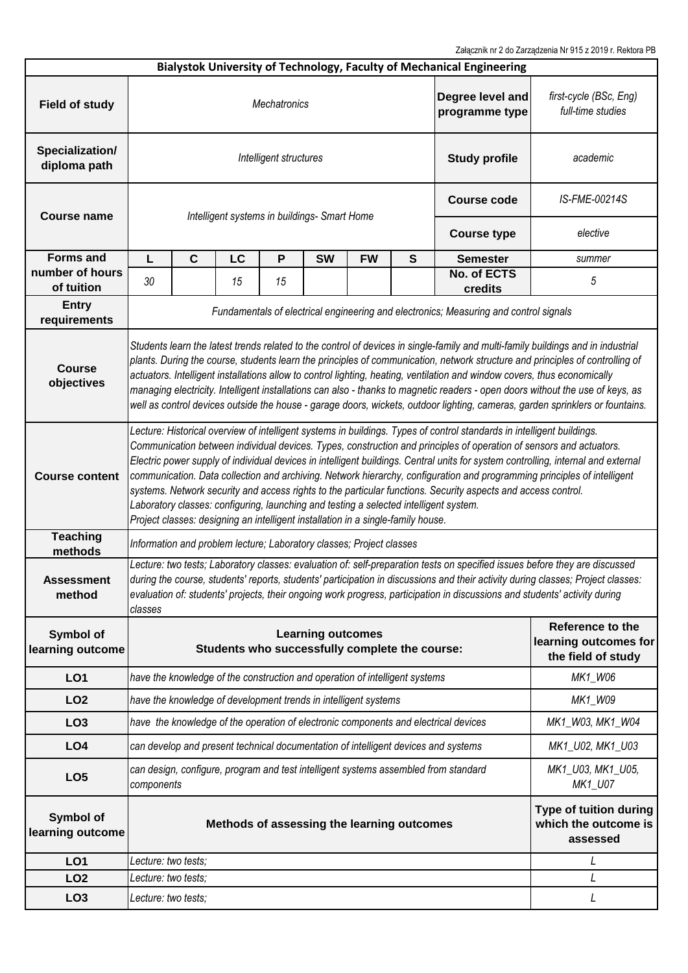Załącznik nr 2 do Zarządzenia Nr 915 z 2019 r. Rektora PB

|                                 |                                                                                                                                                                                                                                                                                                                                                                                                                                                                                                                                                                                                                                                                                                                                                                                                              |                                                                                       |    |                                              |                      |               |                                                                 | Bialystok University of Technology, Faculty of Mechanical Engineering |                                             |  |
|---------------------------------|--------------------------------------------------------------------------------------------------------------------------------------------------------------------------------------------------------------------------------------------------------------------------------------------------------------------------------------------------------------------------------------------------------------------------------------------------------------------------------------------------------------------------------------------------------------------------------------------------------------------------------------------------------------------------------------------------------------------------------------------------------------------------------------------------------------|---------------------------------------------------------------------------------------|----|----------------------------------------------|----------------------|---------------|-----------------------------------------------------------------|-----------------------------------------------------------------------|---------------------------------------------|--|
| <b>Field of study</b>           | Degree level and<br><b>Mechatronics</b><br>programme type                                                                                                                                                                                                                                                                                                                                                                                                                                                                                                                                                                                                                                                                                                                                                    |                                                                                       |    |                                              |                      |               |                                                                 |                                                                       | first-cycle (BSc, Eng)<br>full-time studies |  |
| Specialization/<br>diploma path |                                                                                                                                                                                                                                                                                                                                                                                                                                                                                                                                                                                                                                                                                                                                                                                                              |                                                                                       |    | Intelligent structures                       | <b>Study profile</b> | academic      |                                                                 |                                                                       |                                             |  |
| <b>Course name</b>              |                                                                                                                                                                                                                                                                                                                                                                                                                                                                                                                                                                                                                                                                                                                                                                                                              |                                                                                       |    | Intelligent systems in buildings- Smart Home | <b>Course code</b>   | IS-FME-00214S |                                                                 |                                                                       |                                             |  |
|                                 |                                                                                                                                                                                                                                                                                                                                                                                                                                                                                                                                                                                                                                                                                                                                                                                                              |                                                                                       |    |                                              | <b>Course type</b>   | elective      |                                                                 |                                                                       |                                             |  |
| <b>Forms and</b>                | L                                                                                                                                                                                                                                                                                                                                                                                                                                                                                                                                                                                                                                                                                                                                                                                                            | $\mathbf{C}$                                                                          | LC | $\mathsf{P}$                                 | <b>SW</b>            | <b>FW</b>     | S                                                               | <b>Semester</b>                                                       | summer                                      |  |
| number of hours<br>of tuition   | 30                                                                                                                                                                                                                                                                                                                                                                                                                                                                                                                                                                                                                                                                                                                                                                                                           |                                                                                       | 15 | 15                                           |                      |               |                                                                 | No. of ECTS<br>credits                                                | 5                                           |  |
| <b>Entry</b><br>requirements    |                                                                                                                                                                                                                                                                                                                                                                                                                                                                                                                                                                                                                                                                                                                                                                                                              | Fundamentals of electrical engineering and electronics; Measuring and control signals |    |                                              |                      |               |                                                                 |                                                                       |                                             |  |
| <b>Course</b><br>objectives     | Students learn the latest trends related to the control of devices in single-family and multi-family buildings and in industrial<br>plants. During the course, students learn the principles of communication, network structure and principles of controlling of<br>actuators. Intelligent installations allow to control lighting, heating, ventilation and window covers, thus economically<br>managing electricity. Intelligent installations can also - thanks to magnetic readers - open doors without the use of keys, as<br>well as control devices outside the house - garage doors, wickets, outdoor lighting, cameras, garden sprinklers or fountains.                                                                                                                                            |                                                                                       |    |                                              |                      |               |                                                                 |                                                                       |                                             |  |
| <b>Course content</b>           | Lecture: Historical overview of intelligent systems in buildings. Types of control standards in intelligent buildings.<br>Communication between individual devices. Types, construction and principles of operation of sensors and actuators.<br>Electric power supply of individual devices in intelligent buildings. Central units for system controlling, internal and external<br>communication. Data collection and archiving. Network hierarchy, configuration and programming principles of intelligent<br>systems. Network security and access rights to the particular functions. Security aspects and access control.<br>Laboratory classes: configuring, launching and testing a selected intelligent system.<br>Project classes: designing an intelligent installation in a single-family house. |                                                                                       |    |                                              |                      |               |                                                                 |                                                                       |                                             |  |
| <b>Teaching</b><br>methods      | Information and problem lecture; Laboratory classes; Project classes                                                                                                                                                                                                                                                                                                                                                                                                                                                                                                                                                                                                                                                                                                                                         |                                                                                       |    |                                              |                      |               |                                                                 |                                                                       |                                             |  |
| <b>Assessment</b><br>method     | Lecture: two tests; Laboratory classes: evaluation of: self-preparation tests on specified issues before they are discussed<br>during the course, students' reports, students' participation in discussions and their activity during classes; Project classes:<br>evaluation of: students' projects, their ongoing work progress, participation in discussions and students' activity during<br>classes                                                                                                                                                                                                                                                                                                                                                                                                     |                                                                                       |    |                                              |                      |               |                                                                 |                                                                       |                                             |  |
| Symbol of<br>learning outcome   | <b>Learning outcomes</b><br>Students who successfully complete the course:                                                                                                                                                                                                                                                                                                                                                                                                                                                                                                                                                                                                                                                                                                                                   |                                                                                       |    |                                              |                      |               | Reference to the<br>learning outcomes for<br>the field of study |                                                                       |                                             |  |
| LO <sub>1</sub>                 | have the knowledge of the construction and operation of intelligent systems                                                                                                                                                                                                                                                                                                                                                                                                                                                                                                                                                                                                                                                                                                                                  |                                                                                       |    |                                              |                      |               |                                                                 | MK1_W06                                                               |                                             |  |
| LO <sub>2</sub>                 | have the knowledge of development trends in intelligent systems                                                                                                                                                                                                                                                                                                                                                                                                                                                                                                                                                                                                                                                                                                                                              |                                                                                       |    |                                              |                      |               |                                                                 |                                                                       | MK1_W09                                     |  |
| LO <sub>3</sub>                 | have the knowledge of the operation of electronic components and electrical devices                                                                                                                                                                                                                                                                                                                                                                                                                                                                                                                                                                                                                                                                                                                          |                                                                                       |    |                                              |                      |               |                                                                 |                                                                       | MK1_W03, MK1_W04                            |  |
| LO <sub>4</sub>                 | can develop and present technical documentation of intelligent devices and systems                                                                                                                                                                                                                                                                                                                                                                                                                                                                                                                                                                                                                                                                                                                           |                                                                                       |    |                                              |                      |               |                                                                 | MK1_U02, MK1_U03                                                      |                                             |  |
| LO <sub>5</sub>                 | can design, configure, program and test intelligent systems assembled from standard<br>components                                                                                                                                                                                                                                                                                                                                                                                                                                                                                                                                                                                                                                                                                                            |                                                                                       |    |                                              |                      |               |                                                                 | MK1_U03, MK1_U05,<br>MK1_U07                                          |                                             |  |
| Symbol of<br>learning outcome   | Methods of assessing the learning outcomes                                                                                                                                                                                                                                                                                                                                                                                                                                                                                                                                                                                                                                                                                                                                                                   |                                                                                       |    |                                              |                      |               |                                                                 | Type of tuition during<br>which the outcome is<br>assessed            |                                             |  |
| LO <sub>1</sub>                 | Lecture: two tests;                                                                                                                                                                                                                                                                                                                                                                                                                                                                                                                                                                                                                                                                                                                                                                                          |                                                                                       |    |                                              |                      |               |                                                                 |                                                                       | L                                           |  |
| LO <sub>2</sub>                 | Lecture: two tests;                                                                                                                                                                                                                                                                                                                                                                                                                                                                                                                                                                                                                                                                                                                                                                                          |                                                                                       |    |                                              |                      |               |                                                                 | L                                                                     |                                             |  |
| LO <sub>3</sub>                 | Lecture: two tests;<br>L                                                                                                                                                                                                                                                                                                                                                                                                                                                                                                                                                                                                                                                                                                                                                                                     |                                                                                       |    |                                              |                      |               |                                                                 |                                                                       |                                             |  |